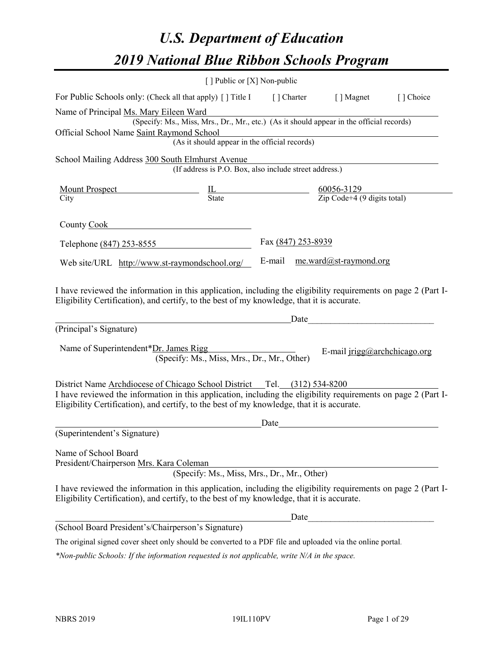# *U.S. Department of Education 2019 National Blue Ribbon Schools Program*

|                                                                                                                                                                                                                                                                                          | [ ] Public or [X] Non-public                                                                                                                             |                    |                                 |           |
|------------------------------------------------------------------------------------------------------------------------------------------------------------------------------------------------------------------------------------------------------------------------------------------|----------------------------------------------------------------------------------------------------------------------------------------------------------|--------------------|---------------------------------|-----------|
| For Public Schools only: (Check all that apply) [] Title I [] Charter [] Magnet                                                                                                                                                                                                          |                                                                                                                                                          |                    |                                 | [] Choice |
| Name of Principal Ms. Mary Eileen Ward<br>Official School Name Saint Raymond School                                                                                                                                                                                                      | (Specify: Ms., Miss, Mrs., Dr., Mr., etc.) (As it should appear in the official records)<br>mond School<br>(As it should appear in the official records) |                    |                                 |           |
| School Mailing Address 300 South Elmhurst Avenue                                                                                                                                                                                                                                         |                                                                                                                                                          |                    |                                 |           |
|                                                                                                                                                                                                                                                                                          | (If address is P.O. Box, also include street address.)                                                                                                   |                    |                                 |           |
| Mount Prospect<br>City $\frac{IL}{\text{State}}$ $\frac{60056-3129}{\text{Zip Code}+4 (9 \text{ digits total})}$                                                                                                                                                                         |                                                                                                                                                          |                    |                                 |           |
| County Cook                                                                                                                                                                                                                                                                              |                                                                                                                                                          |                    |                                 |           |
| Telephone (847) 253-8555                                                                                                                                                                                                                                                                 |                                                                                                                                                          | Fax (847) 253-8939 |                                 |           |
| Web site/URL http://www.st-raymondschool.org/                                                                                                                                                                                                                                            |                                                                                                                                                          |                    | E-mail $me.ward@st-raymond.org$ |           |
| I have reviewed the information in this application, including the eligibility requirements on page 2 (Part I-<br>Eligibility Certification), and certify, to the best of my knowledge, that it is accurate.                                                                             |                                                                                                                                                          | Date               |                                 |           |
| (Principal's Signature)                                                                                                                                                                                                                                                                  |                                                                                                                                                          |                    |                                 |           |
| Name of Superintendent*Dr. James Rigg                                                                                                                                                                                                                                                    | (Specify: Ms., Miss, Mrs., Dr., Mr., Other)                                                                                                              |                    | E-mail jrigg@archchicago.org    |           |
| District Name Archdiocese of Chicago School District Tel. (312) 534-8200<br>I have reviewed the information in this application, including the eligibility requirements on page 2 (Part I-<br>Eligibility Certification), and certify, to the best of my knowledge, that it is accurate. |                                                                                                                                                          | Date               |                                 |           |
| (Superintendent's Signature)                                                                                                                                                                                                                                                             |                                                                                                                                                          |                    |                                 |           |
| Name of School Board<br>President/Chairperson Mrs. Kara Coleman                                                                                                                                                                                                                          | (Specify: Ms., Miss, Mrs., Dr., Mr., Other)                                                                                                              |                    |                                 |           |
| I have reviewed the information in this application, including the eligibility requirements on page 2 (Part I-<br>Eligibility Certification), and certify, to the best of my knowledge, that it is accurate.                                                                             |                                                                                                                                                          |                    |                                 |           |
|                                                                                                                                                                                                                                                                                          |                                                                                                                                                          | Date               |                                 |           |
| (School Board President's/Chairperson's Signature)                                                                                                                                                                                                                                       |                                                                                                                                                          |                    |                                 |           |
| The original signed cover sheet only should be converted to a PDF file and uploaded via the online portal.                                                                                                                                                                               |                                                                                                                                                          |                    |                                 |           |

*\*Non-public Schools: If the information requested is not applicable, write N/A in the space.*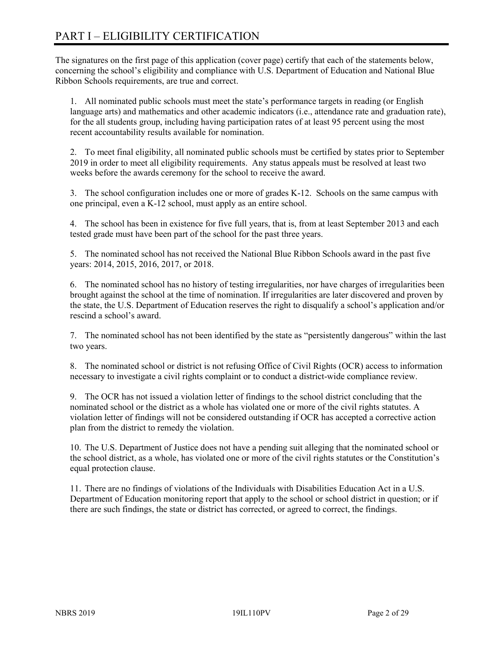# PART I – ELIGIBILITY CERTIFICATION

The signatures on the first page of this application (cover page) certify that each of the statements below, concerning the school's eligibility and compliance with U.S. Department of Education and National Blue Ribbon Schools requirements, are true and correct.

1. All nominated public schools must meet the state's performance targets in reading (or English language arts) and mathematics and other academic indicators (i.e., attendance rate and graduation rate), for the all students group, including having participation rates of at least 95 percent using the most recent accountability results available for nomination.

2. To meet final eligibility, all nominated public schools must be certified by states prior to September 2019 in order to meet all eligibility requirements. Any status appeals must be resolved at least two weeks before the awards ceremony for the school to receive the award.

3. The school configuration includes one or more of grades K-12. Schools on the same campus with one principal, even a K-12 school, must apply as an entire school.

4. The school has been in existence for five full years, that is, from at least September 2013 and each tested grade must have been part of the school for the past three years.

5. The nominated school has not received the National Blue Ribbon Schools award in the past five years: 2014, 2015, 2016, 2017, or 2018.

6. The nominated school has no history of testing irregularities, nor have charges of irregularities been brought against the school at the time of nomination. If irregularities are later discovered and proven by the state, the U.S. Department of Education reserves the right to disqualify a school's application and/or rescind a school's award.

7. The nominated school has not been identified by the state as "persistently dangerous" within the last two years.

8. The nominated school or district is not refusing Office of Civil Rights (OCR) access to information necessary to investigate a civil rights complaint or to conduct a district-wide compliance review.

9. The OCR has not issued a violation letter of findings to the school district concluding that the nominated school or the district as a whole has violated one or more of the civil rights statutes. A violation letter of findings will not be considered outstanding if OCR has accepted a corrective action plan from the district to remedy the violation.

10. The U.S. Department of Justice does not have a pending suit alleging that the nominated school or the school district, as a whole, has violated one or more of the civil rights statutes or the Constitution's equal protection clause.

11. There are no findings of violations of the Individuals with Disabilities Education Act in a U.S. Department of Education monitoring report that apply to the school or school district in question; or if there are such findings, the state or district has corrected, or agreed to correct, the findings.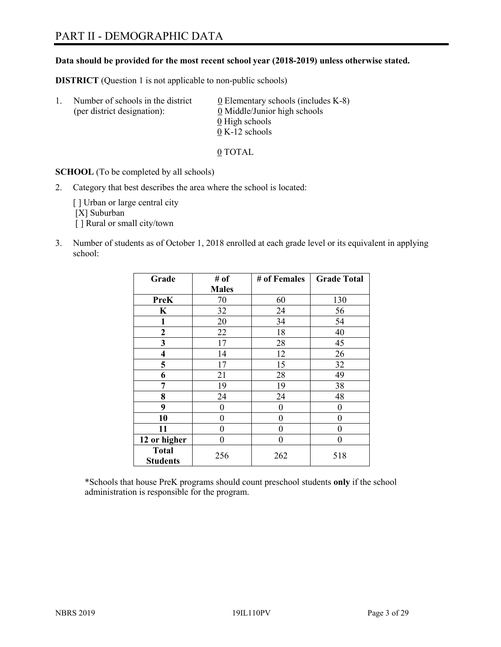# PART II - DEMOGRAPHIC DATA

#### **Data should be provided for the most recent school year (2018-2019) unless otherwise stated.**

**DISTRICT** (Question 1 is not applicable to non-public schools)

| -1. | Number of schools in the district<br>(per district designation): | $\underline{0}$ Elementary schools (includes K-8)<br>0 Middle/Junior high schools |
|-----|------------------------------------------------------------------|-----------------------------------------------------------------------------------|
|     |                                                                  | 0 High schools                                                                    |
|     |                                                                  | $0 K-12$ schools                                                                  |

0 TOTAL

**SCHOOL** (To be completed by all schools)

2. Category that best describes the area where the school is located:

[] Urban or large central city [X] Suburban [] Rural or small city/town

3. Number of students as of October 1, 2018 enrolled at each grade level or its equivalent in applying school:

| Grade                           | # of           | # of Females | <b>Grade Total</b> |
|---------------------------------|----------------|--------------|--------------------|
|                                 | <b>Males</b>   |              |                    |
| PreK                            | 70             | 60           | 130                |
| K                               | 32             | 24           | 56                 |
| $\mathbf{1}$                    | 20             | 34           | 54                 |
| $\mathbf{2}$                    | 22             | 18           | 40                 |
| 3                               | 17             | 28           | 45                 |
| 4                               | 14             | 12           | 26                 |
| 5                               | 17             | 15           | 32                 |
| 6                               | 21             | 28           | 49                 |
| 7                               | 19             | 19           | 38                 |
| 8                               | 24             | 24           | 48                 |
| 9                               | 0              | 0            | 0                  |
| 10                              | 0              | 0            | 0                  |
| 11                              | $\overline{0}$ | $\theta$     | 0                  |
| 12 or higher                    | 0              | 0            | 0                  |
| <b>Total</b><br><b>Students</b> | 256            | 262          | 518                |

\*Schools that house PreK programs should count preschool students **only** if the school administration is responsible for the program.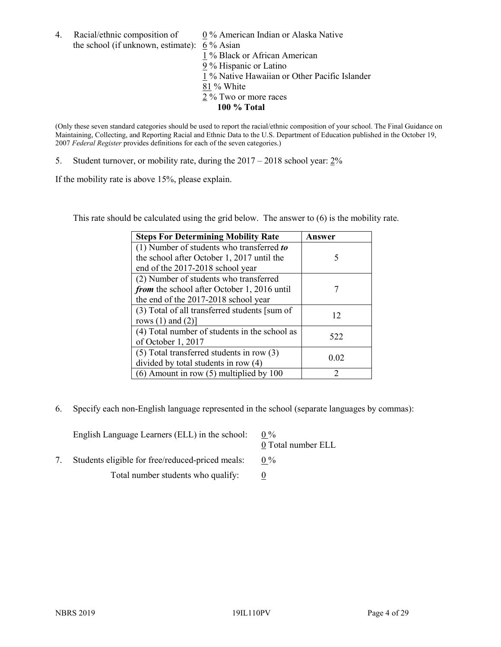4. Racial/ethnic composition of  $0\%$  American Indian or Alaska Native the school (if unknown, estimate): 6 % Asian

1 % Black or African American 9 % Hispanic or Latino  $\frac{1}{1}$ % Native Hawaiian or Other Pacific Islander 81 % White 2 % Two or more races **100 % Total**

(Only these seven standard categories should be used to report the racial/ethnic composition of your school. The Final Guidance on Maintaining, Collecting, and Reporting Racial and Ethnic Data to the U.S. Department of Education published in the October 19, 2007 *Federal Register* provides definitions for each of the seven categories.)

5. Student turnover, or mobility rate, during the  $2017 - 2018$  school year:  $2\%$ 

If the mobility rate is above 15%, please explain.

This rate should be calculated using the grid below. The answer to (6) is the mobility rate.

| <b>Steps For Determining Mobility Rate</b>    | Answer |
|-----------------------------------------------|--------|
| (1) Number of students who transferred to     |        |
| the school after October 1, 2017 until the    | 5      |
| end of the 2017-2018 school year              |        |
| (2) Number of students who transferred        |        |
| from the school after October 1, 2016 until   |        |
| the end of the 2017-2018 school year          |        |
| (3) Total of all transferred students [sum of | 12     |
| rows $(1)$ and $(2)$ ]                        |        |
| (4) Total number of students in the school as | 522    |
| of October 1, 2017                            |        |
| $(5)$ Total transferred students in row $(3)$ | 0.02   |
| divided by total students in row (4)          |        |
| $(6)$ Amount in row $(5)$ multiplied by 100   | っ      |

6. Specify each non-English language represented in the school (separate languages by commas):

| English Language Learners (ELL) in the school:   | $0\%$<br>0 Total number ELL |
|--------------------------------------------------|-----------------------------|
| Students eligible for free/reduced-priced meals: | $0\%$                       |
| Total number students who qualify:               |                             |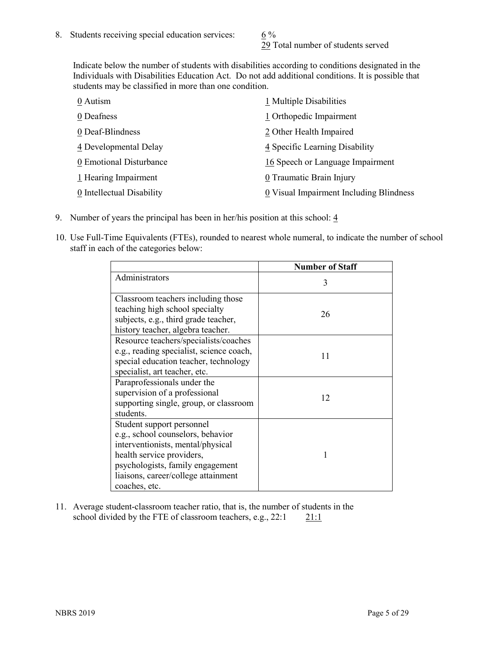29 Total number of students served

Indicate below the number of students with disabilities according to conditions designated in the Individuals with Disabilities Education Act. Do not add additional conditions. It is possible that students may be classified in more than one condition.

| 0 Autism                  | 1 Multiple Disabilities                 |
|---------------------------|-----------------------------------------|
| 0 Deafness                | 1 Orthopedic Impairment                 |
| 0 Deaf-Blindness          | 2 Other Health Impaired                 |
| 4 Developmental Delay     | 4 Specific Learning Disability          |
| 0 Emotional Disturbance   | 16 Speech or Language Impairment        |
| 1 Hearing Impairment      | 0 Traumatic Brain Injury                |
| 0 Intellectual Disability | 0 Visual Impairment Including Blindness |

- 9. Number of years the principal has been in her/his position at this school:  $\frac{4}{3}$
- 10. Use Full-Time Equivalents (FTEs), rounded to nearest whole numeral, to indicate the number of school staff in each of the categories below:

|                                                                                                                                                                                                                              | <b>Number of Staff</b> |
|------------------------------------------------------------------------------------------------------------------------------------------------------------------------------------------------------------------------------|------------------------|
| Administrators                                                                                                                                                                                                               | 3                      |
| Classroom teachers including those<br>teaching high school specialty<br>subjects, e.g., third grade teacher,<br>history teacher, algebra teacher.                                                                            | 26                     |
| Resource teachers/specialists/coaches<br>e.g., reading specialist, science coach,<br>special education teacher, technology<br>specialist, art teacher, etc.                                                                  | 11                     |
| Paraprofessionals under the<br>supervision of a professional<br>supporting single, group, or classroom<br>students.                                                                                                          | 12                     |
| Student support personnel<br>e.g., school counselors, behavior<br>interventionists, mental/physical<br>health service providers,<br>psychologists, family engagement<br>liaisons, career/college attainment<br>coaches, etc. |                        |

11. Average student-classroom teacher ratio, that is, the number of students in the school divided by the FTE of classroom teachers, e.g.,  $22:1$  21:1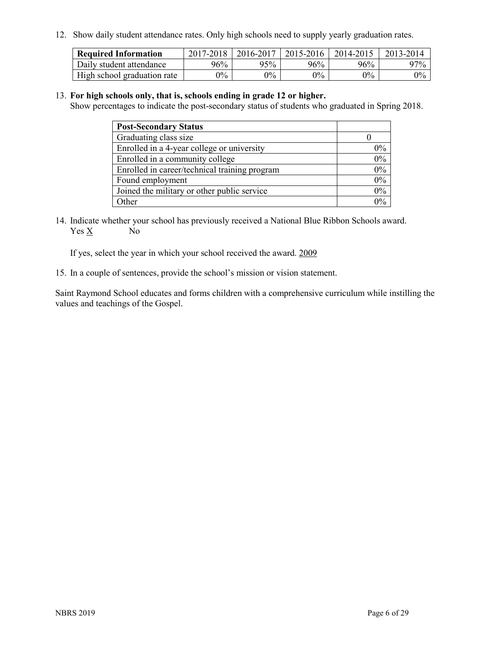12. Show daily student attendance rates. Only high schools need to supply yearly graduation rates.

| <b>Required Information</b> | 2017-2018 | 2016-2017 | 2015-2016 | 2014-2015 | 2013-2014 |
|-----------------------------|-----------|-----------|-----------|-----------|-----------|
| Daily student attendance    | 96%       | 95%       | 96%       | 96%       | $97\%$    |
| High school graduation rate | $0\%$     | $0\%$     | $0\%$     | $9\%$     | $0\%$     |

#### 13. **For high schools only, that is, schools ending in grade 12 or higher.**

Show percentages to indicate the post-secondary status of students who graduated in Spring 2018.

| <b>Post-Secondary Status</b>                  |       |
|-----------------------------------------------|-------|
| Graduating class size                         |       |
| Enrolled in a 4-year college or university    | $0\%$ |
| Enrolled in a community college               | 0%    |
| Enrolled in career/technical training program | $0\%$ |
| Found employment                              | 0%    |
| Joined the military or other public service   | 0%    |
| Other                                         | በ0⁄   |

14. Indicate whether your school has previously received a National Blue Ribbon Schools award. Yes X No

If yes, select the year in which your school received the award. 2009

15. In a couple of sentences, provide the school's mission or vision statement.

Saint Raymond School educates and forms children with a comprehensive curriculum while instilling the values and teachings of the Gospel.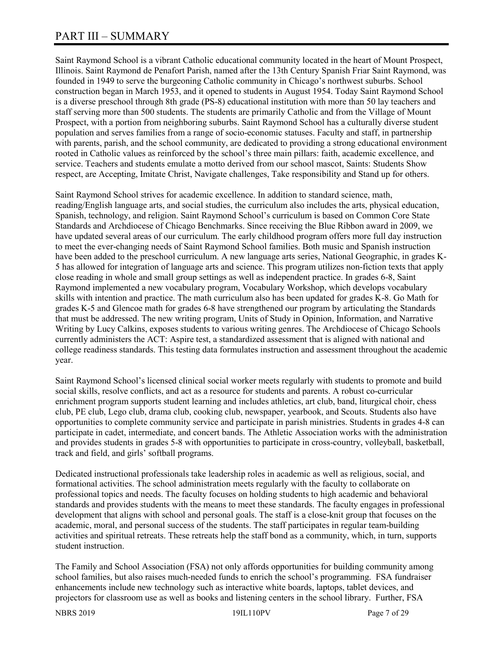# PART III – SUMMARY

Saint Raymond School is a vibrant Catholic educational community located in the heart of Mount Prospect, Illinois. Saint Raymond de Penafort Parish, named after the 13th Century Spanish Friar Saint Raymond, was founded in 1949 to serve the burgeoning Catholic community in Chicago's northwest suburbs. School construction began in March 1953, and it opened to students in August 1954. Today Saint Raymond School is a diverse preschool through 8th grade (PS-8) educational institution with more than 50 lay teachers and staff serving more than 500 students. The students are primarily Catholic and from the Village of Mount Prospect, with a portion from neighboring suburbs. Saint Raymond School has a culturally diverse student population and serves families from a range of socio-economic statuses. Faculty and staff, in partnership with parents, parish, and the school community, are dedicated to providing a strong educational environment rooted in Catholic values as reinforced by the school's three main pillars: faith, academic excellence, and service. Teachers and students emulate a motto derived from our school mascot, Saints: Students Show respect, are Accepting, Imitate Christ, Navigate challenges, Take responsibility and Stand up for others.

Saint Raymond School strives for academic excellence. In addition to standard science, math, reading/English language arts, and social studies, the curriculum also includes the arts, physical education, Spanish, technology, and religion. Saint Raymond School's curriculum is based on Common Core State Standards and Archdiocese of Chicago Benchmarks. Since receiving the Blue Ribbon award in 2009, we have updated several areas of our curriculum. The early childhood program offers more full day instruction to meet the ever-changing needs of Saint Raymond School families. Both music and Spanish instruction have been added to the preschool curriculum. A new language arts series, National Geographic, in grades K-5 has allowed for integration of language arts and science. This program utilizes non-fiction texts that apply close reading in whole and small group settings as well as independent practice. In grades 6-8, Saint Raymond implemented a new vocabulary program, Vocabulary Workshop, which develops vocabulary skills with intention and practice. The math curriculum also has been updated for grades K-8. Go Math for grades K-5 and Glencoe math for grades 6-8 have strengthened our program by articulating the Standards that must be addressed. The new writing program, Units of Study in Opinion, Information, and Narrative Writing by Lucy Calkins, exposes students to various writing genres. The Archdiocese of Chicago Schools currently administers the ACT: Aspire test, a standardized assessment that is aligned with national and college readiness standards. This testing data formulates instruction and assessment throughout the academic year.

Saint Raymond School's licensed clinical social worker meets regularly with students to promote and build social skills, resolve conflicts, and act as a resource for students and parents. A robust co-curricular enrichment program supports student learning and includes athletics, art club, band, liturgical choir, chess club, PE club, Lego club, drama club, cooking club, newspaper, yearbook, and Scouts. Students also have opportunities to complete community service and participate in parish ministries. Students in grades 4-8 can participate in cadet, intermediate, and concert bands. The Athletic Association works with the administration and provides students in grades 5-8 with opportunities to participate in cross-country, volleyball, basketball, track and field, and girls' softball programs.

Dedicated instructional professionals take leadership roles in academic as well as religious, social, and formational activities. The school administration meets regularly with the faculty to collaborate on professional topics and needs. The faculty focuses on holding students to high academic and behavioral standards and provides students with the means to meet these standards. The faculty engages in professional development that aligns with school and personal goals. The staff is a close-knit group that focuses on the academic, moral, and personal success of the students. The staff participates in regular team-building activities and spiritual retreats. These retreats help the staff bond as a community, which, in turn, supports student instruction.

The Family and School Association (FSA) not only affords opportunities for building community among school families, but also raises much-needed funds to enrich the school's programming. FSA fundraiser enhancements include new technology such as interactive white boards, laptops, tablet devices, and projectors for classroom use as well as books and listening centers in the school library. Further, FSA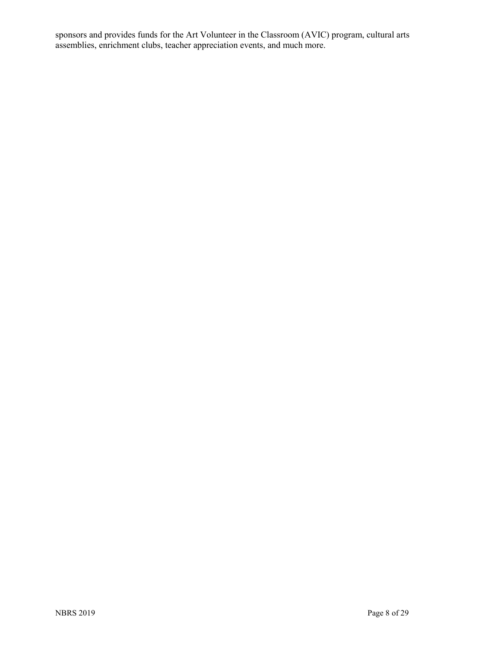sponsors and provides funds for the Art Volunteer in the Classroom (AVIC) program, cultural arts assemblies, enrichment clubs, teacher appreciation events, and much more.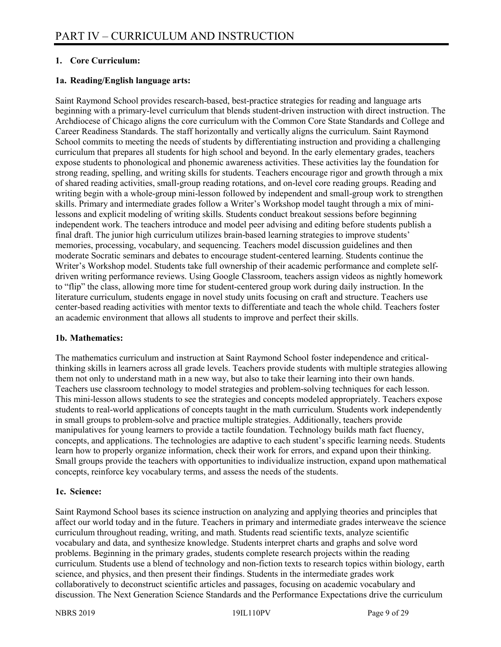#### **1. Core Curriculum:**

#### **1a. Reading/English language arts:**

Saint Raymond School provides research-based, best-practice strategies for reading and language arts beginning with a primary-level curriculum that blends student-driven instruction with direct instruction. The Archdiocese of Chicago aligns the core curriculum with the Common Core State Standards and College and Career Readiness Standards. The staff horizontally and vertically aligns the curriculum. Saint Raymond School commits to meeting the needs of students by differentiating instruction and providing a challenging curriculum that prepares all students for high school and beyond. In the early elementary grades, teachers expose students to phonological and phonemic awareness activities. These activities lay the foundation for strong reading, spelling, and writing skills for students. Teachers encourage rigor and growth through a mix of shared reading activities, small-group reading rotations, and on-level core reading groups. Reading and writing begin with a whole-group mini-lesson followed by independent and small-group work to strengthen skills. Primary and intermediate grades follow a Writer's Workshop model taught through a mix of minilessons and explicit modeling of writing skills. Students conduct breakout sessions before beginning independent work. The teachers introduce and model peer advising and editing before students publish a final draft. The junior high curriculum utilizes brain-based learning strategies to improve students' memories, processing, vocabulary, and sequencing. Teachers model discussion guidelines and then moderate Socratic seminars and debates to encourage student-centered learning. Students continue the Writer's Workshop model. Students take full ownership of their academic performance and complete selfdriven writing performance reviews. Using Google Classroom, teachers assign videos as nightly homework to "flip" the class, allowing more time for student-centered group work during daily instruction. In the literature curriculum, students engage in novel study units focusing on craft and structure. Teachers use center-based reading activities with mentor texts to differentiate and teach the whole child. Teachers foster an academic environment that allows all students to improve and perfect their skills.

#### **1b. Mathematics:**

The mathematics curriculum and instruction at Saint Raymond School foster independence and criticalthinking skills in learners across all grade levels. Teachers provide students with multiple strategies allowing them not only to understand math in a new way, but also to take their learning into their own hands. Teachers use classroom technology to model strategies and problem-solving techniques for each lesson. This mini-lesson allows students to see the strategies and concepts modeled appropriately. Teachers expose students to real-world applications of concepts taught in the math curriculum. Students work independently in small groups to problem-solve and practice multiple strategies. Additionally, teachers provide manipulatives for young learners to provide a tactile foundation. Technology builds math fact fluency, concepts, and applications. The technologies are adaptive to each student's specific learning needs. Students learn how to properly organize information, check their work for errors, and expand upon their thinking. Small groups provide the teachers with opportunities to individualize instruction, expand upon mathematical concepts, reinforce key vocabulary terms, and assess the needs of the students.

#### **1c. Science:**

Saint Raymond School bases its science instruction on analyzing and applying theories and principles that affect our world today and in the future. Teachers in primary and intermediate grades interweave the science curriculum throughout reading, writing, and math. Students read scientific texts, analyze scientific vocabulary and data, and synthesize knowledge. Students interpret charts and graphs and solve word problems. Beginning in the primary grades, students complete research projects within the reading curriculum. Students use a blend of technology and non-fiction texts to research topics within biology, earth science, and physics, and then present their findings. Students in the intermediate grades work collaboratively to deconstruct scientific articles and passages, focusing on academic vocabulary and discussion. The Next Generation Science Standards and the Performance Expectations drive the curriculum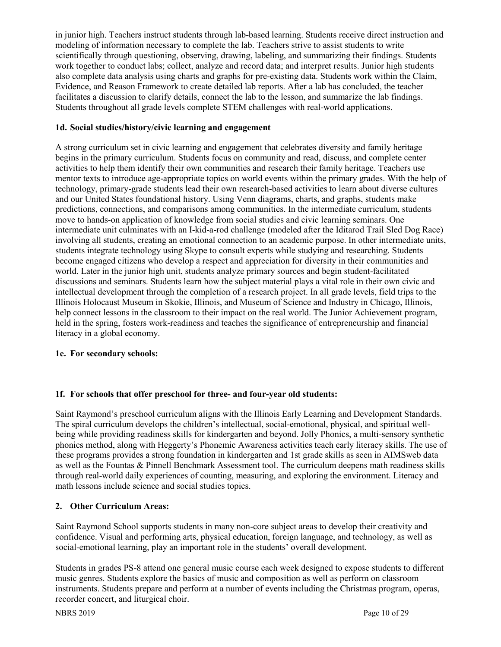in junior high. Teachers instruct students through lab-based learning. Students receive direct instruction and modeling of information necessary to complete the lab. Teachers strive to assist students to write scientifically through questioning, observing, drawing, labeling, and summarizing their findings. Students work together to conduct labs; collect, analyze and record data; and interpret results. Junior high students also complete data analysis using charts and graphs for pre-existing data. Students work within the Claim, Evidence, and Reason Framework to create detailed lab reports. After a lab has concluded, the teacher facilitates a discussion to clarify details, connect the lab to the lesson, and summarize the lab findings. Students throughout all grade levels complete STEM challenges with real-world applications.

#### **1d. Social studies/history/civic learning and engagement**

A strong curriculum set in civic learning and engagement that celebrates diversity and family heritage begins in the primary curriculum. Students focus on community and read, discuss, and complete center activities to help them identify their own communities and research their family heritage. Teachers use mentor texts to introduce age-appropriate topics on world events within the primary grades. With the help of technology, primary-grade students lead their own research-based activities to learn about diverse cultures and our United States foundational history. Using Venn diagrams, charts, and graphs, students make predictions, connections, and comparisons among communities. In the intermediate curriculum, students move to hands-on application of knowledge from social studies and civic learning seminars. One intermediate unit culminates with an I-kid-a-rod challenge (modeled after the Iditarod Trail Sled Dog Race) involving all students, creating an emotional connection to an academic purpose. In other intermediate units, students integrate technology using Skype to consult experts while studying and researching. Students become engaged citizens who develop a respect and appreciation for diversity in their communities and world. Later in the junior high unit, students analyze primary sources and begin student-facilitated discussions and seminars. Students learn how the subject material plays a vital role in their own civic and intellectual development through the completion of a research project. In all grade levels, field trips to the Illinois Holocaust Museum in Skokie, Illinois, and Museum of Science and Industry in Chicago, Illinois, help connect lessons in the classroom to their impact on the real world. The Junior Achievement program, held in the spring, fosters work-readiness and teaches the significance of entrepreneurship and financial literacy in a global economy.

#### **1e. For secondary schools:**

#### **1f. For schools that offer preschool for three- and four-year old students:**

Saint Raymond's preschool curriculum aligns with the Illinois Early Learning and Development Standards. The spiral curriculum develops the children's intellectual, social-emotional, physical, and spiritual wellbeing while providing readiness skills for kindergarten and beyond. Jolly Phonics, a multi-sensory synthetic phonics method, along with Heggerty's Phonemic Awareness activities teach early literacy skills. The use of these programs provides a strong foundation in kindergarten and 1st grade skills as seen in AIMSweb data as well as the Fountas & Pinnell Benchmark Assessment tool. The curriculum deepens math readiness skills through real-world daily experiences of counting, measuring, and exploring the environment. Literacy and math lessons include science and social studies topics.

#### **2. Other Curriculum Areas:**

Saint Raymond School supports students in many non-core subject areas to develop their creativity and confidence. Visual and performing arts, physical education, foreign language, and technology, as well as social-emotional learning, play an important role in the students' overall development.

Students in grades PS-8 attend one general music course each week designed to expose students to different music genres. Students explore the basics of music and composition as well as perform on classroom instruments. Students prepare and perform at a number of events including the Christmas program, operas, recorder concert, and liturgical choir.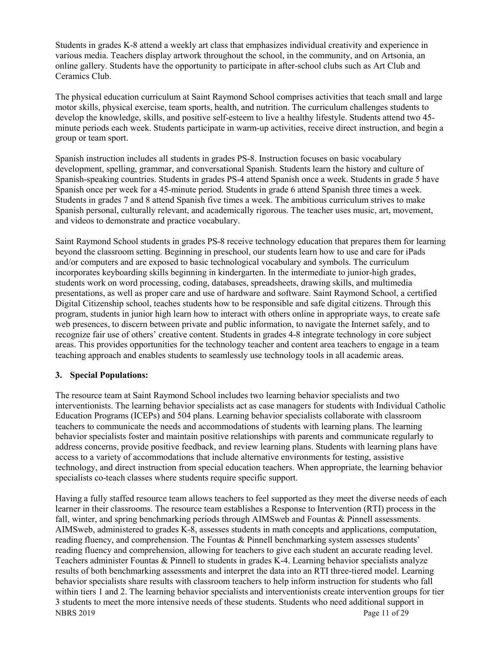Students in grades K-8 attend a weekly art class that emphasizes individual creativity and experience in various media. Teachers display artwork throughout the school, in the community, and on Artsonia, an online gallery. Students have the opportunity to participate in after-school clubs such as Art Club and Ceramics Club.

The physical education curriculum at Saint Raymond School comprises activities that teach small and large motor skills, physical exercise, team sports, health, and nutrition. The curriculum challenges students to develop the knowledge, skills, and positive self-esteem to live a healthy lifestyle. Students attend two 45 minute periods each week. Students participate in warm-up activities, receive direct instruction, and begin a group or team sport.

Spanish instruction includes all students in grades PS-8. Instruction focuses on basic vocabulary development, spelling, grammar, and conversational Spanish. Students learn the history and culture of Spanish-speaking countries. Students in grades PS-4 attend Spanish once a week. Students in grade 5 have Spanish once per week for a 45-minute period. Students in grade 6 attend Spanish three times a week. Students in grades 7 and 8 attend Spanish five times a week. The ambitious curriculum strives to make Spanish personal, culturally relevant, and academically rigorous. The teacher uses music, art, movement, and videos to demonstrate and practice vocabulary.

Saint Raymond School students in grades PS-8 receive technology education that prepares them for learning beyond the classroom setting. Beginning in preschool, our students learn how to use and care for iPads and/or computers and are exposed to basic technological vocabulary and symbols. The curriculum incorporates keyboarding skills beginning in kindergarten. In the intermediate to junior-high grades, students work on word processing, coding, databases, spreadsheets, drawing skills, and multimedia presentations, as well as proper care and use of hardware and software. Saint Raymond School, a certified Digital Citizenship school, teaches students how to be responsible and safe digital citizens. Through this program, students in junior high learn how to interact with others online in appropriate ways, to create safe web presences, to discern between private and public information, to navigate the Internet safely, and to recognize fair use of others' creative content. Students in grades 4-8 integrate technology in core subject areas. This provides opportunities for the technology teacher and content area teachers to engage in a team teaching approach and enables students to seamlessly use technology tools in all academic areas.

#### **3. Special Populations:**

The resource team at Saint Raymond School includes two learning behavior specialists and two interventionists. The learning behavior specialists act as case managers for students with Individual Catholic Education Programs (ICEPs) and 504 plans. Learning behavior specialists collaborate with classroom teachers to communicate the needs and accommodations of students with learning plans. The learning behavior specialists foster and maintain positive relationships with parents and communicate regularly to address concerns, provide positive feedback, and review learning plans. Students with learning plans have access to a variety of accommodations that include alternative environments for testing, assistive technology, and direct instruction from special education teachers. When appropriate, the learning behavior specialists co-teach classes where students require specific support.

NBRS 2019 Page 11 of 29 Having a fully staffed resource team allows teachers to feel supported as they meet the diverse needs of each learner in their classrooms. The resource team establishes a Response to Intervention (RTI) process in the fall, winter, and spring benchmarking periods through AIMSweb and Fountas & Pinnell assessments. AIMSweb, administered to grades K-8, assesses students in math concepts and applications, computation, reading fluency, and comprehension. The Fountas & Pinnell benchmarking system assesses students' reading fluency and comprehension, allowing for teachers to give each student an accurate reading level. Teachers administer Fountas & Pinnell to students in grades K-4. Learning behavior specialists analyze results of both benchmarking assessments and interpret the data into an RTI three-tiered model. Learning behavior specialists share results with classroom teachers to help inform instruction for students who fall within tiers 1 and 2. The learning behavior specialists and interventionists create intervention groups for tier 3 students to meet the more intensive needs of these students. Students who need additional support in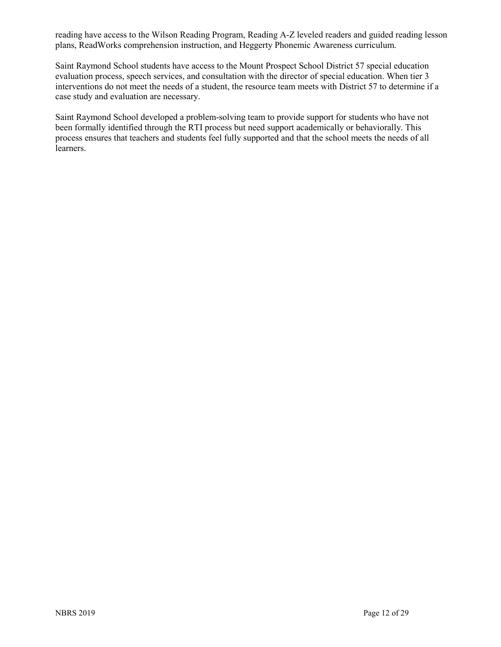reading have access to the Wilson Reading Program, Reading A-Z leveled readers and guided reading lesson plans, ReadWorks comprehension instruction, and Heggerty Phonemic Awareness curriculum.

Saint Raymond School students have access to the Mount Prospect School District 57 special education evaluation process, speech services, and consultation with the director of special education. When tier 3 interventions do not meet the needs of a student, the resource team meets with District 57 to determine if a case study and evaluation are necessary.

Saint Raymond School developed a problem-solving team to provide support for students who have not been formally identified through the RTI process but need support academically or behaviorally. This process ensures that teachers and students feel fully supported and that the school meets the needs of all learners.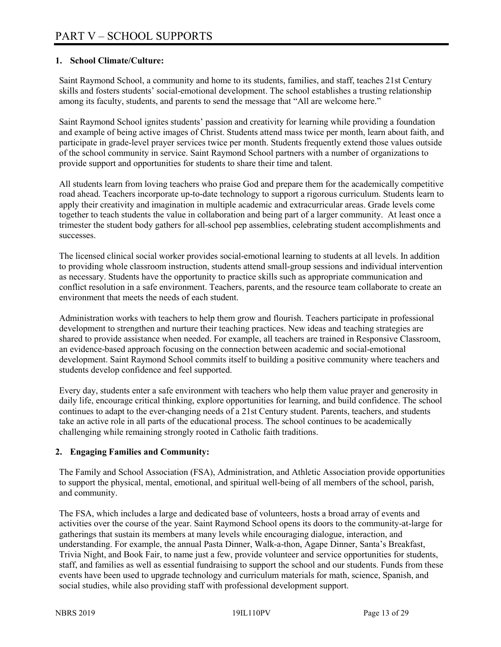#### **1. School Climate/Culture:**

Saint Raymond School, a community and home to its students, families, and staff, teaches 21st Century skills and fosters students' social-emotional development. The school establishes a trusting relationship among its faculty, students, and parents to send the message that "All are welcome here."

Saint Raymond School ignites students' passion and creativity for learning while providing a foundation and example of being active images of Christ. Students attend mass twice per month, learn about faith, and participate in grade-level prayer services twice per month. Students frequently extend those values outside of the school community in service. Saint Raymond School partners with a number of organizations to provide support and opportunities for students to share their time and talent.

All students learn from loving teachers who praise God and prepare them for the academically competitive road ahead. Teachers incorporate up-to-date technology to support a rigorous curriculum. Students learn to apply their creativity and imagination in multiple academic and extracurricular areas. Grade levels come together to teach students the value in collaboration and being part of a larger community. At least once a trimester the student body gathers for all-school pep assemblies, celebrating student accomplishments and successes.

The licensed clinical social worker provides social-emotional learning to students at all levels. In addition to providing whole classroom instruction, students attend small-group sessions and individual intervention as necessary. Students have the opportunity to practice skills such as appropriate communication and conflict resolution in a safe environment. Teachers, parents, and the resource team collaborate to create an environment that meets the needs of each student.

Administration works with teachers to help them grow and flourish. Teachers participate in professional development to strengthen and nurture their teaching practices. New ideas and teaching strategies are shared to provide assistance when needed. For example, all teachers are trained in Responsive Classroom, an evidence-based approach focusing on the connection between academic and social-emotional development. Saint Raymond School commits itself to building a positive community where teachers and students develop confidence and feel supported.

Every day, students enter a safe environment with teachers who help them value prayer and generosity in daily life, encourage critical thinking, explore opportunities for learning, and build confidence. The school continues to adapt to the ever-changing needs of a 21st Century student. Parents, teachers, and students take an active role in all parts of the educational process. The school continues to be academically challenging while remaining strongly rooted in Catholic faith traditions.

#### **2. Engaging Families and Community:**

The Family and School Association (FSA), Administration, and Athletic Association provide opportunities to support the physical, mental, emotional, and spiritual well-being of all members of the school, parish, and community.

The FSA, which includes a large and dedicated base of volunteers, hosts a broad array of events and activities over the course of the year. Saint Raymond School opens its doors to the community-at-large for gatherings that sustain its members at many levels while encouraging dialogue, interaction, and understanding. For example, the annual Pasta Dinner, Walk-a-thon, Agape Dinner, Santa's Breakfast, Trivia Night, and Book Fair, to name just a few, provide volunteer and service opportunities for students, staff, and families as well as essential fundraising to support the school and our students. Funds from these events have been used to upgrade technology and curriculum materials for math, science, Spanish, and social studies, while also providing staff with professional development support.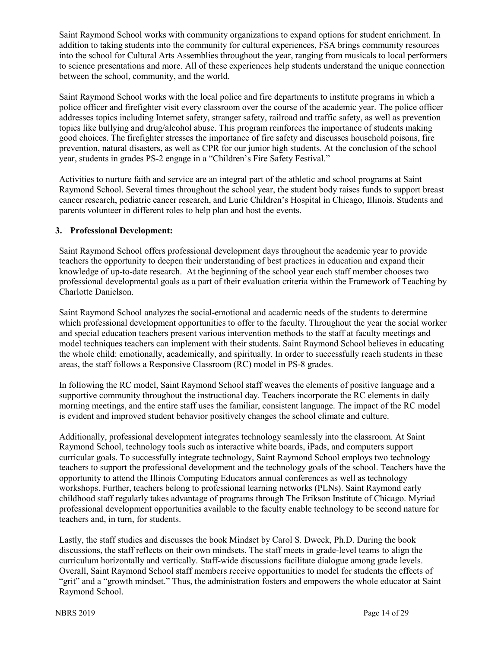Saint Raymond School works with community organizations to expand options for student enrichment. In addition to taking students into the community for cultural experiences, FSA brings community resources into the school for Cultural Arts Assemblies throughout the year, ranging from musicals to local performers to science presentations and more. All of these experiences help students understand the unique connection between the school, community, and the world.

Saint Raymond School works with the local police and fire departments to institute programs in which a police officer and firefighter visit every classroom over the course of the academic year. The police officer addresses topics including Internet safety, stranger safety, railroad and traffic safety, as well as prevention topics like bullying and drug/alcohol abuse. This program reinforces the importance of students making good choices. The firefighter stresses the importance of fire safety and discusses household poisons, fire prevention, natural disasters, as well as CPR for our junior high students. At the conclusion of the school year, students in grades PS-2 engage in a "Children's Fire Safety Festival."

Activities to nurture faith and service are an integral part of the athletic and school programs at Saint Raymond School. Several times throughout the school year, the student body raises funds to support breast cancer research, pediatric cancer research, and Lurie Children's Hospital in Chicago, Illinois. Students and parents volunteer in different roles to help plan and host the events.

#### **3. Professional Development:**

Saint Raymond School offers professional development days throughout the academic year to provide teachers the opportunity to deepen their understanding of best practices in education and expand their knowledge of up-to-date research. At the beginning of the school year each staff member chooses two professional developmental goals as a part of their evaluation criteria within the Framework of Teaching by Charlotte Danielson.

Saint Raymond School analyzes the social-emotional and academic needs of the students to determine which professional development opportunities to offer to the faculty. Throughout the year the social worker and special education teachers present various intervention methods to the staff at faculty meetings and model techniques teachers can implement with their students. Saint Raymond School believes in educating the whole child: emotionally, academically, and spiritually. In order to successfully reach students in these areas, the staff follows a Responsive Classroom (RC) model in PS-8 grades.

In following the RC model, Saint Raymond School staff weaves the elements of positive language and a supportive community throughout the instructional day. Teachers incorporate the RC elements in daily morning meetings, and the entire staff uses the familiar, consistent language. The impact of the RC model is evident and improved student behavior positively changes the school climate and culture.

Additionally, professional development integrates technology seamlessly into the classroom. At Saint Raymond School, technology tools such as interactive white boards, iPads, and computers support curricular goals. To successfully integrate technology, Saint Raymond School employs two technology teachers to support the professional development and the technology goals of the school. Teachers have the opportunity to attend the Illinois Computing Educators annual conferences as well as technology workshops. Further, teachers belong to professional learning networks (PLNs). Saint Raymond early childhood staff regularly takes advantage of programs through The Erikson Institute of Chicago. Myriad professional development opportunities available to the faculty enable technology to be second nature for teachers and, in turn, for students.

Lastly, the staff studies and discusses the book Mindset by Carol S. Dweck, Ph.D. During the book discussions, the staff reflects on their own mindsets. The staff meets in grade-level teams to align the curriculum horizontally and vertically. Staff-wide discussions facilitate dialogue among grade levels. Overall, Saint Raymond School staff members receive opportunities to model for students the effects of "grit" and a "growth mindset." Thus, the administration fosters and empowers the whole educator at Saint Raymond School.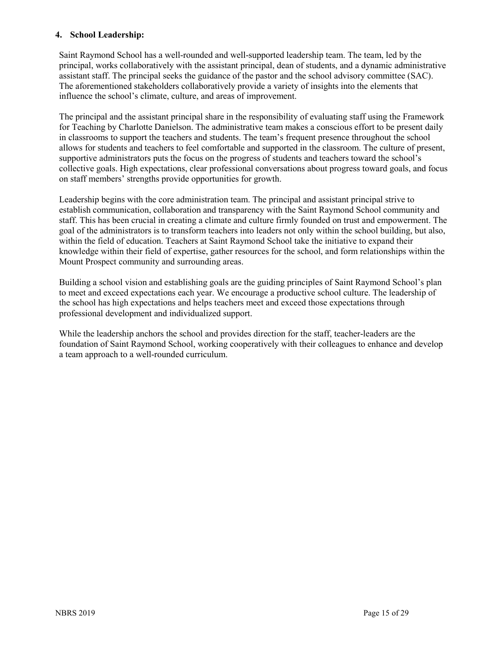#### **4. School Leadership:**

Saint Raymond School has a well-rounded and well-supported leadership team. The team, led by the principal, works collaboratively with the assistant principal, dean of students, and a dynamic administrative assistant staff. The principal seeks the guidance of the pastor and the school advisory committee (SAC). The aforementioned stakeholders collaboratively provide a variety of insights into the elements that influence the school's climate, culture, and areas of improvement.

The principal and the assistant principal share in the responsibility of evaluating staff using the Framework for Teaching by Charlotte Danielson. The administrative team makes a conscious effort to be present daily in classrooms to support the teachers and students. The team's frequent presence throughout the school allows for students and teachers to feel comfortable and supported in the classroom. The culture of present, supportive administrators puts the focus on the progress of students and teachers toward the school's collective goals. High expectations, clear professional conversations about progress toward goals, and focus on staff members' strengths provide opportunities for growth.

Leadership begins with the core administration team. The principal and assistant principal strive to establish communication, collaboration and transparency with the Saint Raymond School community and staff. This has been crucial in creating a climate and culture firmly founded on trust and empowerment. The goal of the administrators is to transform teachers into leaders not only within the school building, but also, within the field of education. Teachers at Saint Raymond School take the initiative to expand their knowledge within their field of expertise, gather resources for the school, and form relationships within the Mount Prospect community and surrounding areas.

Building a school vision and establishing goals are the guiding principles of Saint Raymond School's plan to meet and exceed expectations each year. We encourage a productive school culture. The leadership of the school has high expectations and helps teachers meet and exceed those expectations through professional development and individualized support.

While the leadership anchors the school and provides direction for the staff, teacher-leaders are the foundation of Saint Raymond School, working cooperatively with their colleagues to enhance and develop a team approach to a well-rounded curriculum.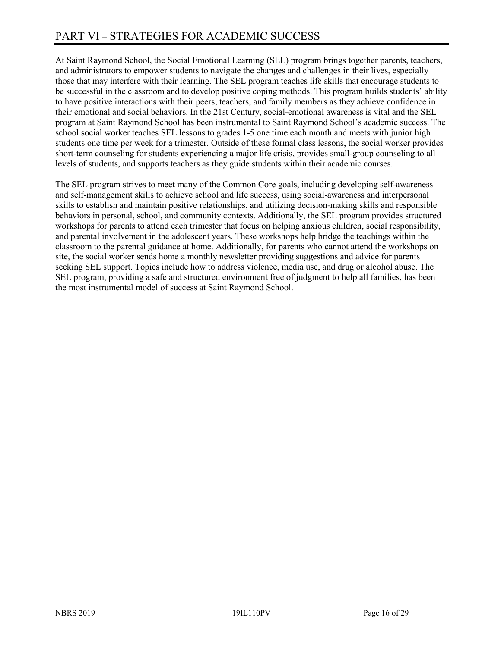At Saint Raymond School, the Social Emotional Learning (SEL) program brings together parents, teachers, and administrators to empower students to navigate the changes and challenges in their lives, especially those that may interfere with their learning. The SEL program teaches life skills that encourage students to be successful in the classroom and to develop positive coping methods. This program builds students' ability to have positive interactions with their peers, teachers, and family members as they achieve confidence in their emotional and social behaviors. In the 21st Century, social-emotional awareness is vital and the SEL program at Saint Raymond School has been instrumental to Saint Raymond School's academic success. The school social worker teaches SEL lessons to grades 1-5 one time each month and meets with junior high students one time per week for a trimester. Outside of these formal class lessons, the social worker provides short-term counseling for students experiencing a major life crisis, provides small-group counseling to all levels of students, and supports teachers as they guide students within their academic courses.

The SEL program strives to meet many of the Common Core goals, including developing self-awareness and self-management skills to achieve school and life success, using social-awareness and interpersonal skills to establish and maintain positive relationships, and utilizing decision-making skills and responsible behaviors in personal, school, and community contexts. Additionally, the SEL program provides structured workshops for parents to attend each trimester that focus on helping anxious children, social responsibility, and parental involvement in the adolescent years. These workshops help bridge the teachings within the classroom to the parental guidance at home. Additionally, for parents who cannot attend the workshops on site, the social worker sends home a monthly newsletter providing suggestions and advice for parents seeking SEL support. Topics include how to address violence, media use, and drug or alcohol abuse. The SEL program, providing a safe and structured environment free of judgment to help all families, has been the most instrumental model of success at Saint Raymond School.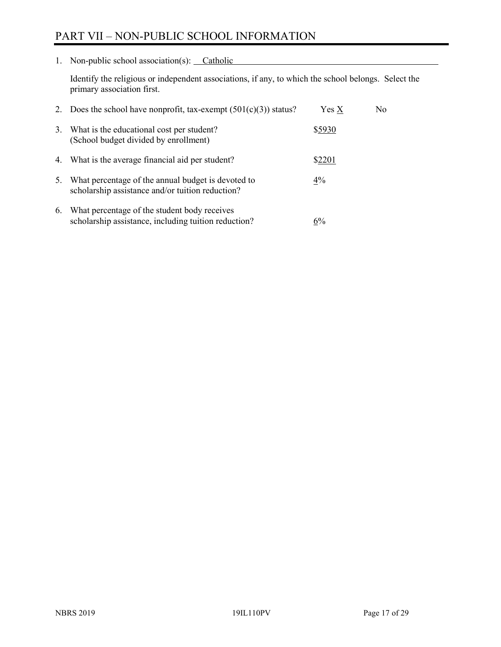# PART VII – NON-PUBLIC SCHOOL INFORMATION

1. Non-public school association(s): Catholic

Identify the religious or independent associations, if any, to which the school belongs. Select the primary association first.

|    | 2. Does the school have nonprofit, tax-exempt $(501(c)(3))$ status?                                    | Yes X  | No. |
|----|--------------------------------------------------------------------------------------------------------|--------|-----|
| 3. | What is the educational cost per student?<br>(School budget divided by enrollment)                     | \$5930 |     |
|    | 4. What is the average financial aid per student?                                                      | \$2201 |     |
|    | What percentage of the annual budget is devoted to<br>scholarship assistance and/or tuition reduction? | $4\%$  |     |
| 6. | What percentage of the student body receives<br>scholarship assistance, including tuition reduction?   | $6\%$  |     |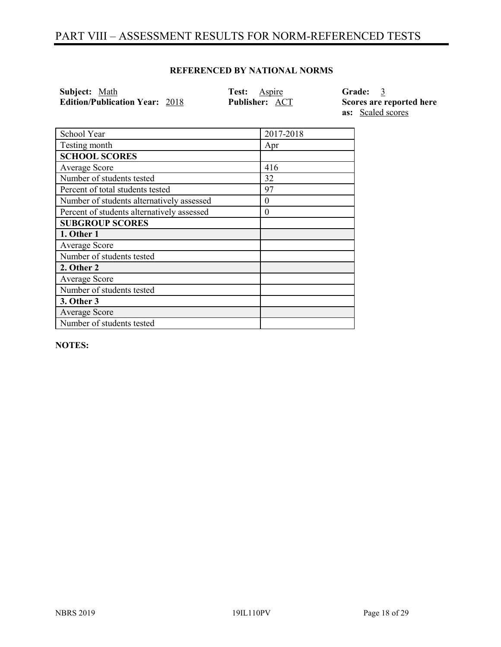# PART VIII – ASSESSMENT RESULTS FOR NORM-REFERENCED TESTS

#### **REFERENCED BY NATIONAL NORMS**

| Subject: Math                         | Test: Aspire          | Grade: 3       |
|---------------------------------------|-----------------------|----------------|
| <b>Edition/Publication Year: 2018</b> | <b>Publisher: ACT</b> | Scores are rea |
|                                       |                       |                |

**Exported here as:** Scaled scores

| School Year                                | 2017-2018 |
|--------------------------------------------|-----------|
| Testing month                              | Apr       |
| <b>SCHOOL SCORES</b>                       |           |
| Average Score                              | 416       |
| Number of students tested                  | 32        |
| Percent of total students tested           | 97        |
| Number of students alternatively assessed  | $\theta$  |
| Percent of students alternatively assessed | 0         |
| <b>SUBGROUP SCORES</b>                     |           |
| 1. Other 1                                 |           |
| Average Score                              |           |
| Number of students tested                  |           |
| 2. Other 2                                 |           |
| Average Score                              |           |
| Number of students tested                  |           |
| 3. Other 3                                 |           |
| Average Score                              |           |
| Number of students tested                  |           |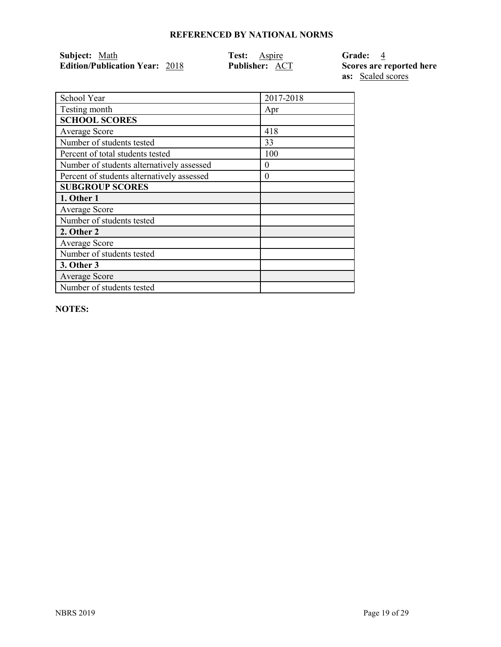| Subject: Math                         | Test: Aspire          | Grade: 4                 |
|---------------------------------------|-----------------------|--------------------------|
| <b>Edition/Publication Year: 2018</b> | <b>Publisher: ACT</b> | Scores are reported here |
|                                       |                       | <b>as:</b> Scaled scores |

| School Year                                | 2017-2018 |
|--------------------------------------------|-----------|
| Testing month                              | Apr       |
| <b>SCHOOL SCORES</b>                       |           |
| Average Score                              | 418       |
| Number of students tested                  | 33        |
| Percent of total students tested           | 100       |
| Number of students alternatively assessed  | $\Omega$  |
| Percent of students alternatively assessed | $\Omega$  |
| <b>SUBGROUP SCORES</b>                     |           |
| 1. Other 1                                 |           |
| Average Score                              |           |
| Number of students tested                  |           |
| 2. Other 2                                 |           |
| <b>Average Score</b>                       |           |
| Number of students tested                  |           |
| 3. Other 3                                 |           |
| Average Score                              |           |
| Number of students tested                  |           |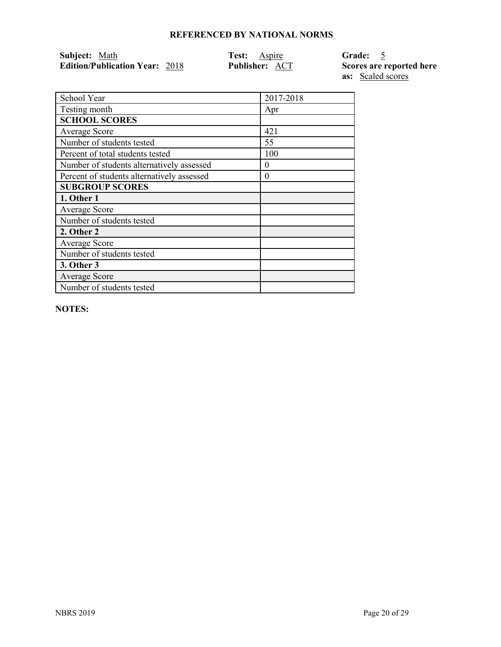| Subject: Math                         | Test: Aspire          | Grade: 5                 |
|---------------------------------------|-----------------------|--------------------------|
| <b>Edition/Publication Year: 2018</b> | <b>Publisher: ACT</b> | Scores are reported here |
|                                       |                       | <b>as:</b> Scaled scores |

School Year 2017-2018 Testing month Apr **SCHOOL SCORES** Average Score 421 Number of students tested 55 Percent of total students tested 100 Number of students alternatively assessed  $\vert$  0 Percent of students alternatively assessed 0 **SUBGROUP SCORES 1. Other 1** Average Score Number of students tested **2. Other 2** Average Score Number of students tested **3. Other 3** Average Score Number of students tested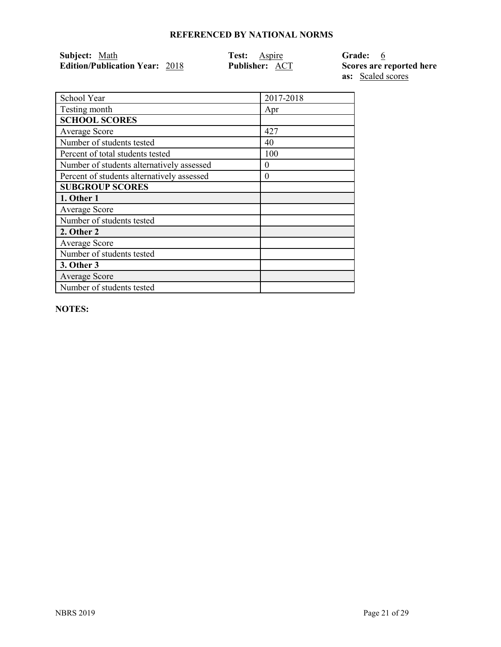| Subject: Math                         | Test: Aspire          | Grade: 6       |
|---------------------------------------|-----------------------|----------------|
| <b>Edition/Publication Year: 2018</b> | <b>Publisher: ACT</b> | Scores are rep |

**Ported here as:** Scaled scores

| School Year                                | 2017-2018 |
|--------------------------------------------|-----------|
| Testing month                              | Apr       |
| <b>SCHOOL SCORES</b>                       |           |
| Average Score                              | 427       |
| Number of students tested                  | 40        |
| Percent of total students tested           | 100       |
| Number of students alternatively assessed  | $\theta$  |
| Percent of students alternatively assessed | $\Omega$  |
| <b>SUBGROUP SCORES</b>                     |           |
| 1. Other 1                                 |           |
| <b>Average Score</b>                       |           |
| Number of students tested                  |           |
| 2. Other 2                                 |           |
| <b>Average Score</b>                       |           |
| Number of students tested                  |           |
| 3. Other 3                                 |           |
| <b>Average Score</b>                       |           |
| Number of students tested                  |           |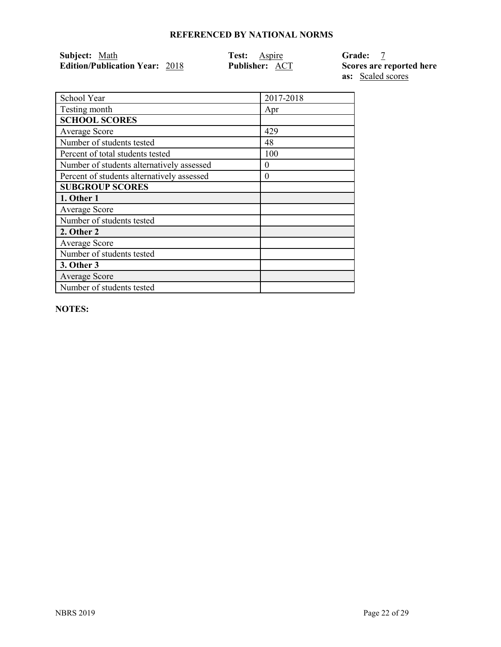| Subject: Math                         | Test: Aspire          | <b>Grade:</b>  |
|---------------------------------------|-----------------------|----------------|
| <b>Edition/Publication Year: 2018</b> | <b>Publisher: ACT</b> | Scores are rep |

**Ported here as:** Scaled scores

| School Year                                | 2017-2018 |
|--------------------------------------------|-----------|
| Testing month                              | Apr       |
| <b>SCHOOL SCORES</b>                       |           |
| Average Score                              | 429       |
| Number of students tested                  | 48        |
| Percent of total students tested           | 100       |
| Number of students alternatively assessed  | 0         |
| Percent of students alternatively assessed | 0         |
| <b>SUBGROUP SCORES</b>                     |           |
| 1. Other 1                                 |           |
| Average Score                              |           |
| Number of students tested                  |           |
| 2. Other 2                                 |           |
| Average Score                              |           |
| Number of students tested                  |           |
| 3. Other 3                                 |           |
| <b>Average Score</b>                       |           |
| Number of students tested                  |           |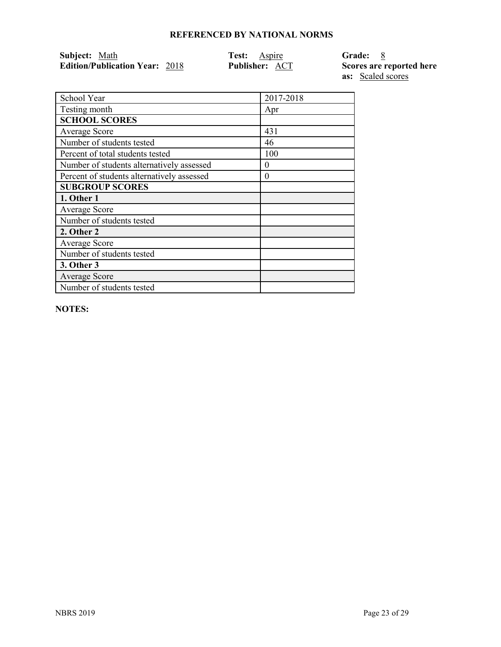| Subject: Math                         | Test: Aspire          | Grade: 8                 |
|---------------------------------------|-----------------------|--------------------------|
| <b>Edition/Publication Year: 2018</b> | <b>Publisher: ACT</b> | Scores are reported here |
|                                       |                       | <b>as:</b> Scaled scores |

| School Year                                | 2017-2018 |
|--------------------------------------------|-----------|
| Testing month                              | Apr       |
| <b>SCHOOL SCORES</b>                       |           |
| Average Score                              | 431       |
| Number of students tested                  | 46        |
| Percent of total students tested           | 100       |
| Number of students alternatively assessed  | $\Omega$  |
| Percent of students alternatively assessed | $\Omega$  |
| <b>SUBGROUP SCORES</b>                     |           |
| 1. Other 1                                 |           |
| <b>Average Score</b>                       |           |
| Number of students tested                  |           |
| 2. Other 2                                 |           |
| <b>Average Score</b>                       |           |
| Number of students tested                  |           |
| 3. Other 3                                 |           |
| <b>Average Score</b>                       |           |
| Number of students tested                  |           |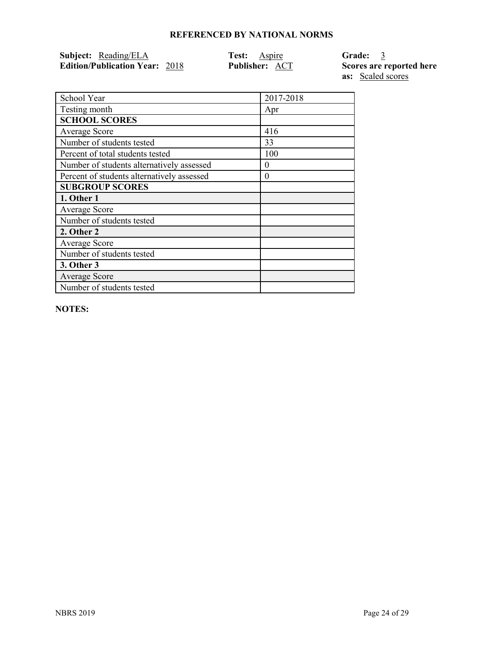| Subject: Reading/ELA                  | Test: Aspire          | Grade: 3                 |
|---------------------------------------|-----------------------|--------------------------|
| <b>Edition/Publication Year: 2018</b> | <b>Publisher: ACT</b> | Scores are reported here |

**as:** Scaled scores

| School Year                                | 2017-2018 |
|--------------------------------------------|-----------|
| Testing month                              | Apr       |
| <b>SCHOOL SCORES</b>                       |           |
| <b>Average Score</b>                       | 416       |
| Number of students tested                  | 33        |
| Percent of total students tested           | 100       |
| Number of students alternatively assessed  | $\theta$  |
| Percent of students alternatively assessed | $\theta$  |
| <b>SUBGROUP SCORES</b>                     |           |
| 1. Other 1                                 |           |
| Average Score                              |           |
| Number of students tested                  |           |
| 2. Other 2                                 |           |
| <b>Average Score</b>                       |           |
| Number of students tested                  |           |
| 3. Other 3                                 |           |
| Average Score                              |           |
| Number of students tested                  |           |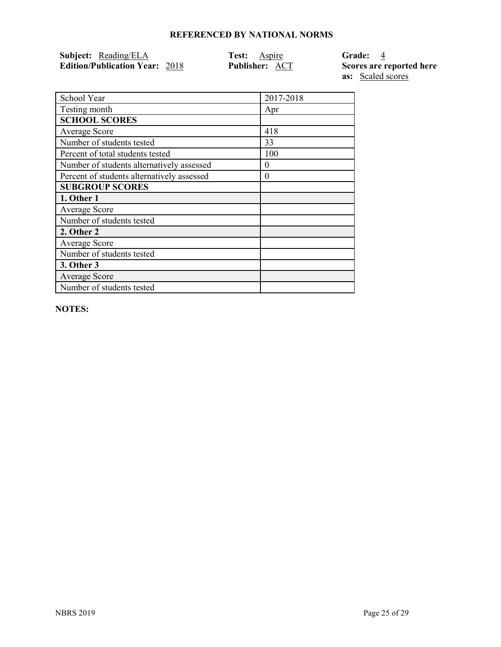| Subject: Reading/ELA                  | Test: Aspire          | Grade: 4                 |
|---------------------------------------|-----------------------|--------------------------|
| <b>Edition/Publication Year: 2018</b> | <b>Publisher: ACT</b> | Scores are reported here |

**as:** Scaled scores

| School Year                                | 2017-2018 |
|--------------------------------------------|-----------|
| Testing month                              | Apr       |
| <b>SCHOOL SCORES</b>                       |           |
| Average Score                              | 418       |
| Number of students tested                  | 33        |
| Percent of total students tested           | 100       |
| Number of students alternatively assessed  | $\theta$  |
| Percent of students alternatively assessed | $\theta$  |
| <b>SUBGROUP SCORES</b>                     |           |
| 1. Other 1                                 |           |
| Average Score                              |           |
| Number of students tested                  |           |
| 2. Other 2                                 |           |
| <b>Average Score</b>                       |           |
| Number of students tested                  |           |
| 3. Other 3                                 |           |
| <b>Average Score</b>                       |           |
| Number of students tested                  |           |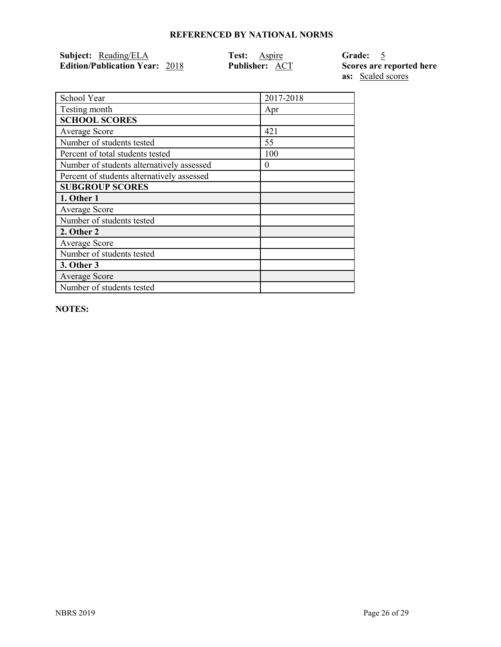| Subject: Reading/ELA                  | Test: Aspire          | Grade: 5                 |
|---------------------------------------|-----------------------|--------------------------|
| <b>Edition/Publication Year: 2018</b> | <b>Publisher: ACT</b> | Scores are reported here |

**as:** Scaled scores

| School Year                                | 2017-2018 |
|--------------------------------------------|-----------|
| Testing month                              | Apr       |
| <b>SCHOOL SCORES</b>                       |           |
| Average Score                              | 421       |
| Number of students tested                  | 55        |
| Percent of total students tested           | 100       |
| Number of students alternatively assessed  | $\theta$  |
| Percent of students alternatively assessed |           |
| <b>SUBGROUP SCORES</b>                     |           |
| 1. Other 1                                 |           |
| Average Score                              |           |
| Number of students tested                  |           |
| 2. Other 2                                 |           |
| <b>Average Score</b>                       |           |
| Number of students tested                  |           |
| 3. Other 3                                 |           |
| <b>Average Score</b>                       |           |
| Number of students tested                  |           |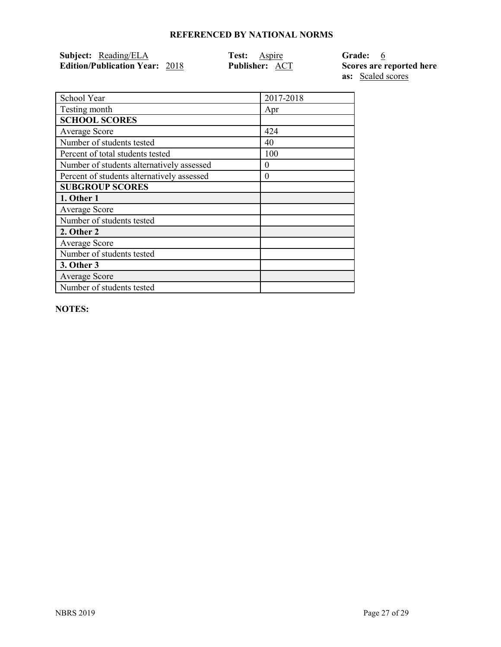| Subject: Reading/ELA                  | Test: Aspire          | Grade: 6                 |
|---------------------------------------|-----------------------|--------------------------|
| <b>Edition/Publication Year: 2018</b> | <b>Publisher: ACT</b> | Scores are reported here |

**as:** Scaled scores

| School Year                                | 2017-2018 |
|--------------------------------------------|-----------|
| Testing month                              | Apr       |
| <b>SCHOOL SCORES</b>                       |           |
| Average Score                              | 424       |
| Number of students tested                  | 40        |
| Percent of total students tested           | 100       |
| Number of students alternatively assessed  | $\theta$  |
| Percent of students alternatively assessed | $\theta$  |
| <b>SUBGROUP SCORES</b>                     |           |
| 1. Other 1                                 |           |
| Average Score                              |           |
| Number of students tested                  |           |
| 2. Other 2                                 |           |
| Average Score                              |           |
| Number of students tested                  |           |
| 3. Other 3                                 |           |
| <b>Average Score</b>                       |           |
| Number of students tested                  |           |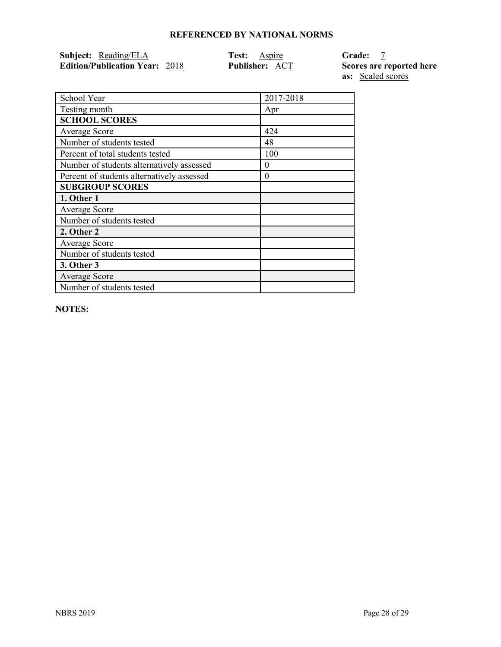| Subject: Reading/ELA                  | Test: Aspire          | <b>Grade:</b>            |
|---------------------------------------|-----------------------|--------------------------|
| <b>Edition/Publication Year: 2018</b> | <b>Publisher: ACT</b> | Scores are reported here |

**as:** Scaled scores

| School Year                                | 2017-2018 |
|--------------------------------------------|-----------|
| Testing month                              | Apr       |
| <b>SCHOOL SCORES</b>                       |           |
| Average Score                              | 424       |
| Number of students tested                  | 48        |
| Percent of total students tested           | 100       |
| Number of students alternatively assessed  | $\theta$  |
| Percent of students alternatively assessed | $\theta$  |
| <b>SUBGROUP SCORES</b>                     |           |
| 1. Other 1                                 |           |
| Average Score                              |           |
| Number of students tested                  |           |
| 2. Other 2                                 |           |
| <b>Average Score</b>                       |           |
| Number of students tested                  |           |
| 3. Other 3                                 |           |
| <b>Average Score</b>                       |           |
| Number of students tested                  |           |